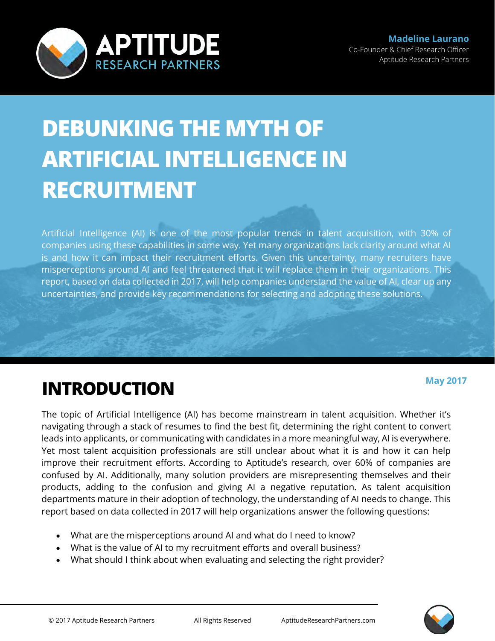

# **DEBUNKING THE MYTH OF ARTIFICIAL INTELLIGENCE IN RECRUITMENT**

Artificial Intelligence (AI) is one of the most popular trends in talent acquisition, with 30% of companies using these capabilities in some way. Yet many organizations lack clarity around what AI is and how it can impact their recruitment efforts. Given this uncertainty, many recruiters have misperceptions around AI and feel threatened that it will replace them in their organizations. This report, based on data collected in 2017, will help companies understand the value of AI, clear up any uncertainties, and provide key recommendations for selecting and adopting these solutions.

### **INTRODUCTION**

The topic of Artificial Intelligence (AI) has become mainstream in talent acquisition. Whether it's navigating through a stack of resumes to find the best fit, determining the right content to convert leads into applicants, or communicating with candidates in a more meaningful way, AI is everywhere. Yet most talent acquisition professionals are still unclear about what it is and how it can help improve their recruitment efforts. According to Aptitude's research, over 60% of companies are confused by AI. Additionally, many solution providers are misrepresenting themselves and their products, adding to the confusion and giving AI a negative reputation. As talent acquisition departments mature in their adoption of technology, the understanding of AI needs to change. This report based on data collected in 2017 will help organizations answer the following questions:

- What are the misperceptions around AI and what do I need to know?
- What is the value of AI to my recruitment efforts and overall business?
- What should I think about when evaluating and selecting the right provider?



**May 2017**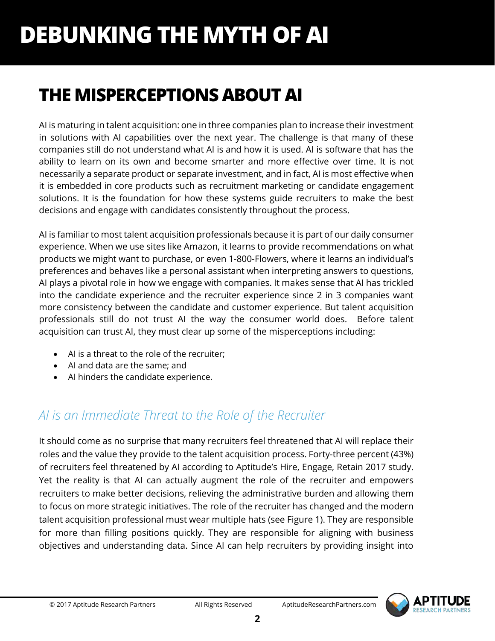### **THE MISPERCEPTIONS ABOUT AI**

AI is maturing in talent acquisition: one in three companies plan to increase their investment in solutions with AI capabilities over the next year. The challenge is that many of these companies still do not understand what AI is and how it is used. AI is software that has the ability to learn on its own and become smarter and more effective over time. It is not necessarily a separate product or separate investment, and in fact, AI is most effective when it is embedded in core products such as recruitment marketing or candidate engagement solutions. It is the foundation for how these systems guide recruiters to make the best decisions and engage with candidates consistently throughout the process.

AI is familiar to most talent acquisition professionals because it is part of our daily consumer experience. When we use sites like Amazon, it learns to provide recommendations on what products we might want to purchase, or even 1-800-Flowers, where it learns an individual's preferences and behaves like a personal assistant when interpreting answers to questions, AI plays a pivotal role in how we engage with companies. It makes sense that AI has trickled into the candidate experience and the recruiter experience since 2 in 3 companies want more consistency between the candidate and customer experience. But talent acquisition professionals still do not trust AI the way the consumer world does. Before talent acquisition can trust AI, they must clear up some of the misperceptions including:

- AI is a threat to the role of the recruiter;
- AI and data are the same; and
- AI hinders the candidate experience.

### *AI is an Immediate Threat to the Role of the Recruiter*

It should come as no surprise that many recruiters feel threatened that AI will replace their roles and the value they provide to the talent acquisition process. Forty-three percent (43%) of recruiters feel threatened by AI according to Aptitude's Hire, Engage, Retain 2017 study. Yet the reality is that AI can actually augment the role of the recruiter and empowers recruiters to make better decisions, relieving the administrative burden and allowing them to focus on more strategic initiatives. The role of the recruiter has changed and the modern talent acquisition professional must wear multiple hats (see Figure 1). They are responsible for more than filling positions quickly. They are responsible for aligning with business objectives and understanding data. Since AI can help recruiters by providing insight into

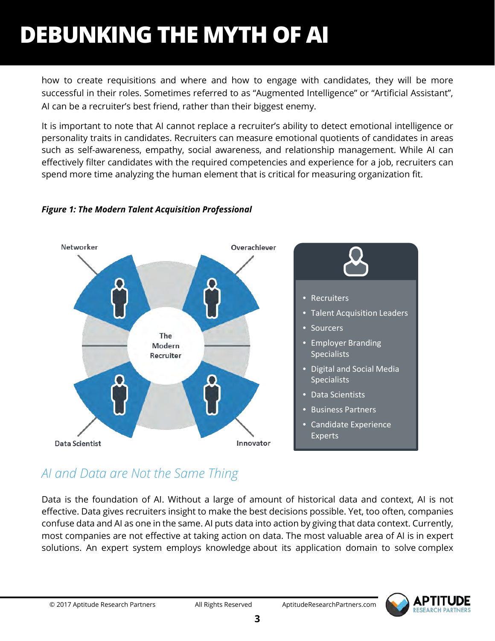how to create requisitions and where and how to engage with candidates, they will be more successful in their roles. Sometimes referred to as "Augmented Intelligence" or "Artificial Assistant", AI can be a recruiter's best friend, rather than their biggest enemy.

It is important to note that AI cannot replace a recruiter's ability to detect emotional intelligence or personality traits in candidates. Recruiters can measure emotional quotients of candidates in areas such as self-awareness, empathy, social awareness, and relationship management. While AI can effectively filter candidates with the required competencies and experience for a job, recruiters can spend more time analyzing the human element that is critical for measuring organization fit.



#### *Figure 1: The Modern Talent Acquisition Professional*

### *AI and Data are Not the Same Thing*

Data is the foundation of AI. Without a large of amount of historical data and context, AI is not effective. Data gives recruiters insight to make the best decisions possible. Yet, too often, companies confuse data and AI as one in the same. AI puts data into action by giving that data context. Currently, most companies are not effective at taking action on data. The most valuable area of AI is in expert solutions. An expert system employs knowledge about its application domain to solve complex

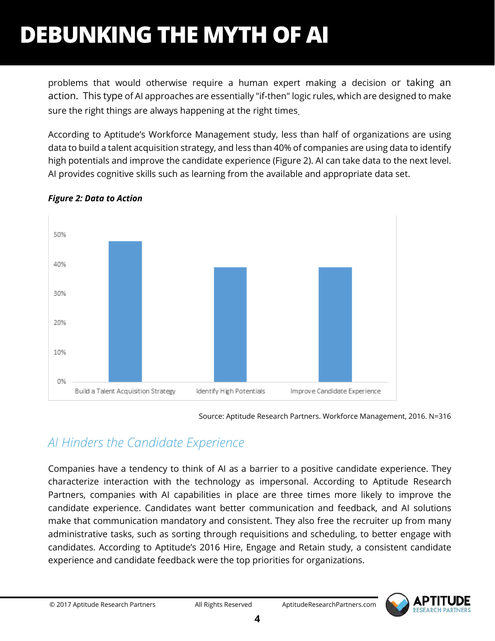problems that would otherwise require a human expert making a decision or taking an action. This type of AI approaches are essentially "if-then" logic rules, which are designed to make sure the right things are always happening at the right times.

According to Aptitude's Workforce Management study, less than half of organizations are using data to build a talent acquisition strategy, and less than 40% of companies are using data to identify high potentials and improve the candidate experience (Figure 2). AI can take data to the next level. AI provides cognitive skills such as learning from the available and appropriate data set.



#### *Figure 2: Data to Action*

Source: Aptitude Research Partners. Workforce Management, 2016. N=316

### *AI Hinders the Candidate Experience*

Companies have a tendency to think of AI as a barrier to a positive candidate experience. They characterize interaction with the technology as impersonal. According to Aptitude Research Partners, companies with AI capabilities in place are three times more likely to improve the candidate experience. Candidates want better communication and feedback, and AI solutions make that communication mandatory and consistent. They also free the recruiter up from many administrative tasks, such as sorting through requisitions and scheduling, to better engage with candidates. According to Aptitude's 2016 Hire, Engage and Retain study, a consistent candidate experience and candidate feedback were the top priorities for organizations.

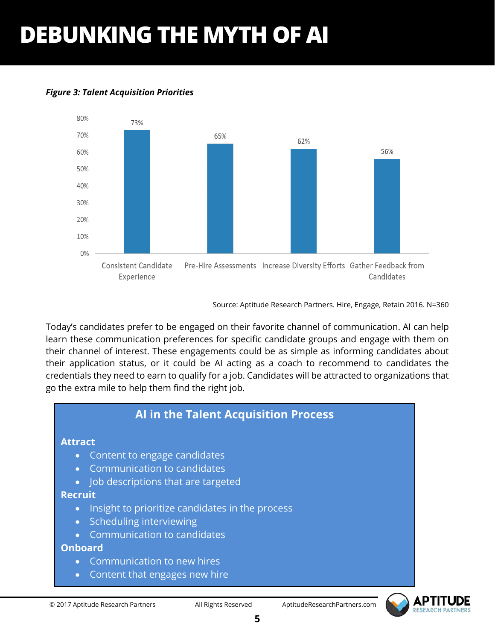

#### *Figure 3: Talent Acquisition Priorities*

Source: Aptitude Research Partners. Hire, Engage, Retain 2016. N=360

Today's candidates prefer to be engaged on their favorite channel of communication. AI can help learn these communication preferences for specific candidate groups and engage with them on their channel of interest. These engagements could be as simple as informing candidates about their application status, or it could be AI acting as a coach to recommend to candidates the credentials they need to earn to qualify for a job. Candidates will be attracted to organizations that go the extra mile to help them find the right job.

#### **AI in the Talent Acquisition Process Attract** • Content to engage candidates • Communication to candidates • Job descriptions that are targeted **Recruit** • Insight to prioritize candidates in the process • Scheduling interviewing • Communication to candidates **Onboard** • Communication to new hires • Content that engages new hire

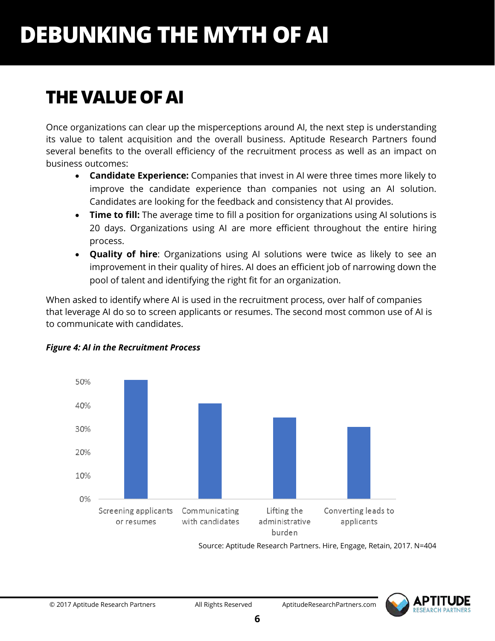## **THE VALUE OF AI**

Once organizations can clear up the misperceptions around AI, the next step is understanding its value to talent acquisition and the overall business. Aptitude Research Partners found several benefits to the overall efficiency of the recruitment process as well as an impact on business outcomes:

- **Candidate Experience:** Companies that invest in AI were three times more likely to improve the candidate experience than companies not using an AI solution. Candidates are looking for the feedback and consistency that AI provides.
- **Time to fill:** The average time to fill a position for organizations using AI solutions is 20 days. Organizations using AI are more efficient throughout the entire hiring process.
- **Quality of hire**: Organizations using AI solutions were twice as likely to see an improvement in their quality of hires. AI does an efficient job of narrowing down the pool of talent and identifying the right fit for an organization.

When asked to identify where AI is used in the recruitment process, over half of companies that leverage AI do so to screen applicants or resumes. The second most common use of AI is to communicate with candidates.



#### *Figure 4: AI in the Recruitment Process*

Source: Aptitude Research Partners. Hire, Engage, Retain, 2017. N=404

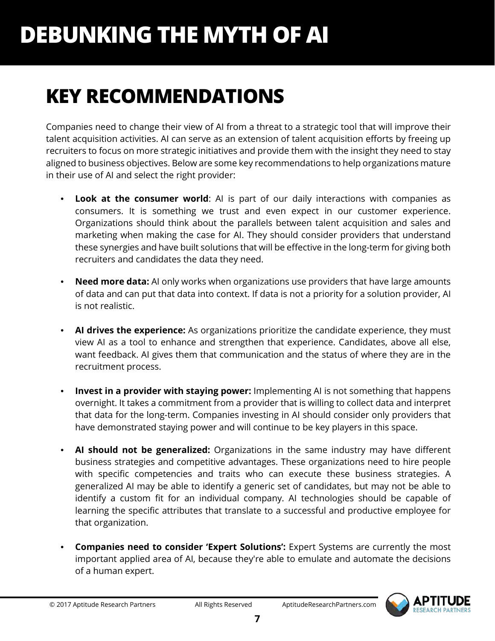## **KEY RECOMMENDATIONS**

Companies need to change their view of AI from a threat to a strategic tool that will improve their talent acquisition activities. AI can serve as an extension of talent acquisition efforts by freeing up recruiters to focus on more strategic initiatives and provide them with the insight they need to stay aligned to business objectives. Below are some key recommendations to help organizations mature in their use of AI and select the right provider:

- **Look at the consumer world**: AI is part of our daily interactions with companies as consumers. It is something we trust and even expect in our customer experience. Organizations should think about the parallels between talent acquisition and sales and marketing when making the case for AI. They should consider providers that understand these synergies and have built solutions that will be effective in the long-term for giving both recruiters and candidates the data they need.
- **Need more data:** AI only works when organizations use providers that have large amounts of data and can put that data into context. If data is not a priority for a solution provider, AI is not realistic.
- **AI drives the experience:** As organizations prioritize the candidate experience, they must view AI as a tool to enhance and strengthen that experience. Candidates, above all else, want feedback. AI gives them that communication and the status of where they are in the recruitment process.
- **Invest in a provider with staying power:** Implementing AI is not something that happens overnight. It takes a commitment from a provider that is willing to collect data and interpret that data for the long-term. Companies investing in AI should consider only providers that have demonstrated staying power and will continue to be key players in this space.
- **AI should not be generalized:** Organizations in the same industry may have different business strategies and competitive advantages. These organizations need to hire people with specific competencies and traits who can execute these business strategies. A generalized AI may be able to identify a generic set of candidates, but may not be able to identify a custom fit for an individual company. AI technologies should be capable of learning the specific attributes that translate to a successful and productive employee for that organization.
- **Companies need to consider 'Expert Solutions':** Expert Systems are currently the most important applied area of AI, because they're able to emulate and automate the decisions of a human expert.